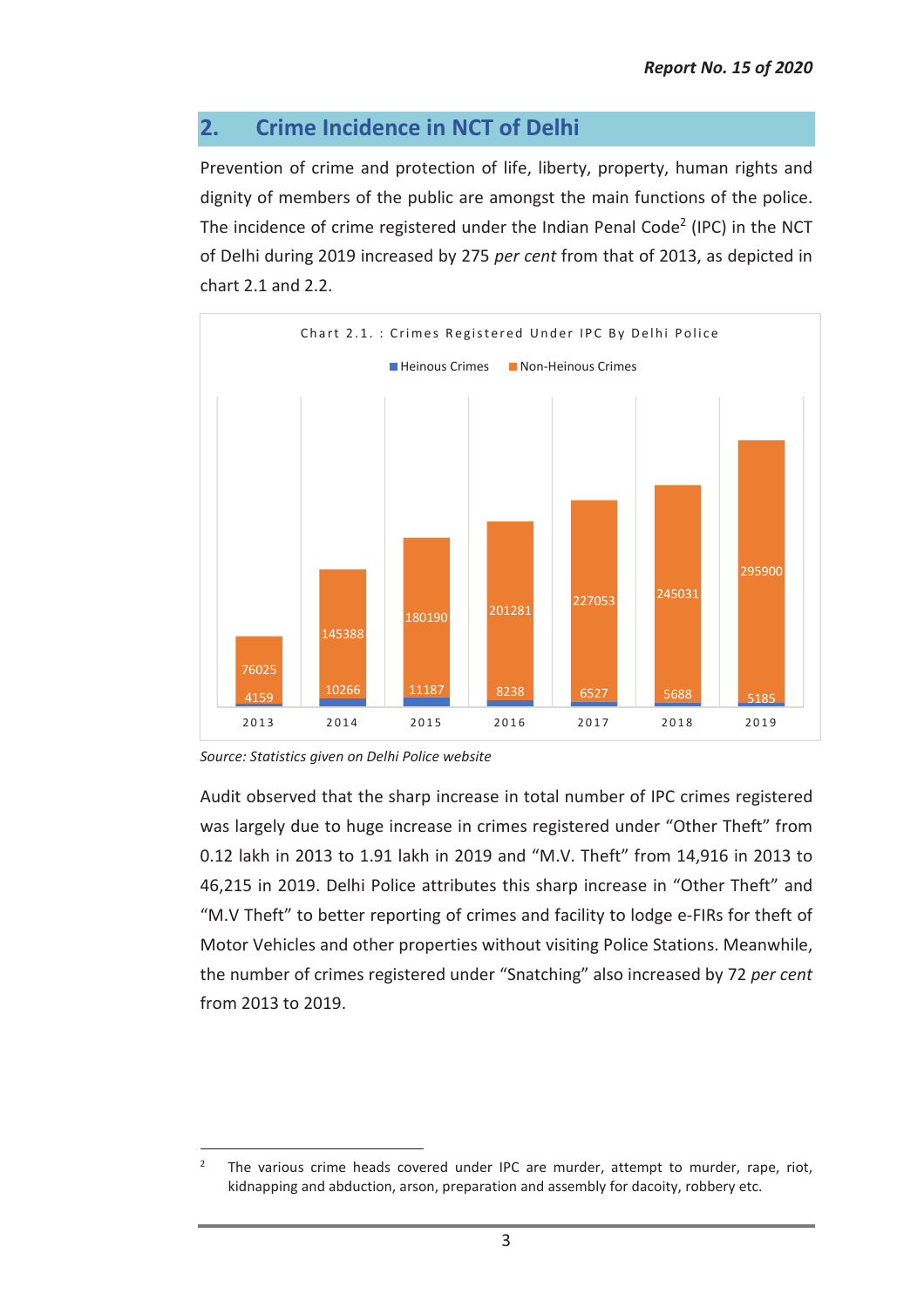## **2. Crime Incidence in NCT of Delhi**

Prevention of crime and protection of life, liberty, property, human rights and dignity of members of the public are amongst the main functions of the police. The incidence of crime registered under the Indian Penal Code<sup>2</sup> (IPC) in the NCT of Delhi during 2019 increased by 275 *per cent* from that of 2013, as depicted in chart 2.1 and 2.2.



*Source: Statistics given on Delhi Police website* 

Audit observed that the sharp increase in total number of IPC crimes registered was largely due to huge increase in crimes registered under "Other Theft" from 0.12 lakh in 2013 to 1.91 lakh in 2019 and "M.V. Theft" from 14,916 in 2013 to 46,215 in 2019. Delhi Police attributes this sharp increase in "Other Theft" and "M.V Theft" to better reporting of crimes and facility to lodge e-FIRs for theft of Motor Vehicles and other properties without visiting Police Stations. Meanwhile, the number of crimes registered under "Snatching" also increased by 72 *per cent* from 2013 to 2019.

 $\overline{a}$ 2 The various crime heads covered under IPC are murder, attempt to murder, rape, riot, kidnapping and abduction, arson, preparation and assembly for dacoity, robbery etc.